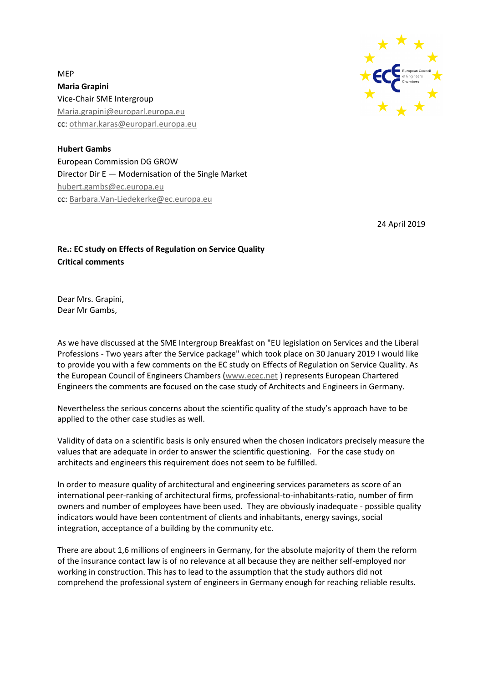

MEP **Maria Grapini** Vice-Chair SME Intergroup [Maria.grapini@europarl.europa.eu](mailto:Maria.grapini@europarl.europa.eu) cc[: othmar.karas@europarl.europa.eu](mailto:othmar.karas@europarl.europa.eu)

**Hubert Gambs** European Commission DG GROW Director Dir E — Modernisation of the Single Market [hubert.gambs@ec.europa.eu](mailto:hubert.gambs@ec.europa.eu) cc[: Barbara.Van-Liedekerke@ec.europa.eu](mailto:Barbara.Van-Liedekerke@ec.europa.eu)

24 April 2019

## **Re.: EC study on Effects of Regulation on Service Quality Critical comments**

Dear Mrs. Grapini, Dear Mr Gambs,

As we have discussed at the SME Intergroup Breakfast on "EU legislation on Services and the Liberal Professions - Two years after the Service package" which took place on 30 January 2019 I would like to provide you with a few comments on the EC study on Effects of Regulation on Service Quality. As the European Council of Engineers Chambers [\(www.ecec.net](http://www.ecec.net/) ) represents European Chartered Engineers the comments are focused on the case study of Architects and Engineers in Germany.

Nevertheless the serious concerns about the scientific quality of the study's approach have to be applied to the other case studies as well.

Validity of data on a scientific basis is only ensured when the chosen indicators precisely measure the values that are adequate in order to answer the scientific questioning. For the case study on architects and engineers this requirement does not seem to be fulfilled.

In order to measure quality of architectural and engineering services parameters as score of an international peer-ranking of architectural firms, professional-to-inhabitants-ratio, number of firm owners and number of employees have been used. They are obviously inadequate - possible quality indicators would have been contentment of clients and inhabitants, energy savings, social integration, acceptance of a building by the community etc.

There are about 1,6 millions of engineers in Germany, for the absolute majority of them the reform of the insurance contact law is of no relevance at all because they are neither self-employed nor working in construction. This has to lead to the assumption that the study authors did not comprehend the professional system of engineers in Germany enough for reaching reliable results.